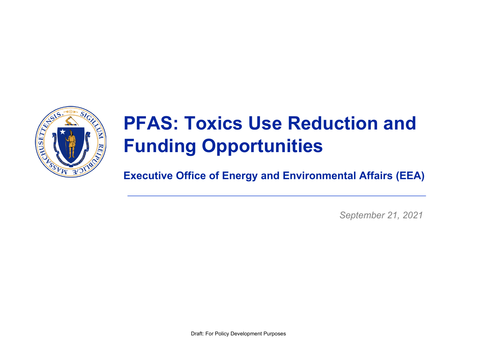

# **PFAS: Toxics Use Reduction and Funding Opportunities**

**Executive Office of Energy and Environmental Affairs (EEA)**

*September 21, 2021*

Draft: For Policy Development Purposes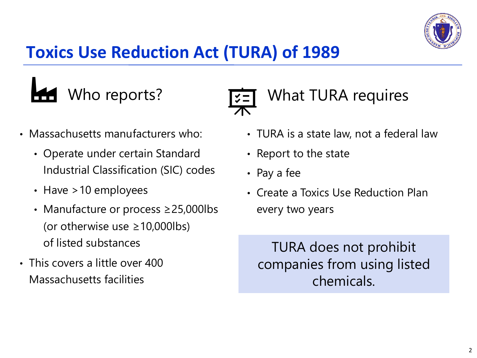

# **Toxics Use Reduction Act (TURA) of 1989**





- Massachusetts manufacturers who:
	- Operate under certain Standard Industrial Classification (SIC) codes
	- Have >10 employees
	- Manufacture or process ≥25,000lbs (or otherwise use  $\geq 10,000$ lbs) of listed substances
- This covers a little over 400 Massachusetts facilities
- TURA is a state law, not a federal law
- Report to the state
- Pay a fee
- Create a Toxics Use Reduction Plan every two years

TURA does not prohibit companies from using listed chemicals.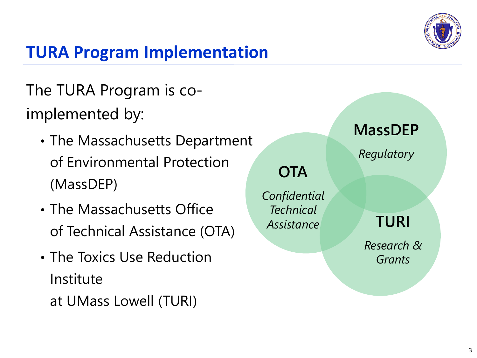

# **TURA Program Implementation**

The TURA Program is coimplemented by:

- The Massachusetts Department of Environmental Protection (MassDEP)
- The Massachusetts Office of Technical Assistance (OTA)
- The Toxics Use Reduction Institute at UMass Lowell (TURI)

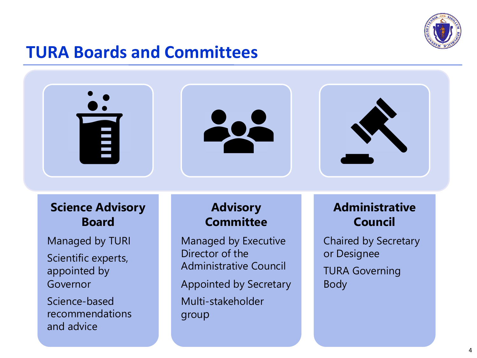

### **TURA Boards and Committees**



#### **Science Advisory Board**

Managed by TURI

Scientific experts, appointed by Governor

Science-based recommendations and advice

### **Advisory Committee**

Managed by Executive Director of the Administrative Council Appointed by Secretary Multi-stakeholder group

### **Administrative Council**

Chaired by Secretary or Designee TURA Governing Body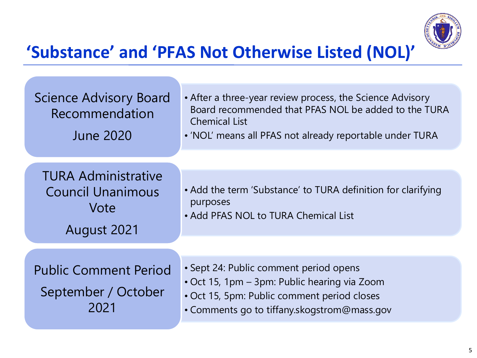

## **'Substance' and 'PFAS Not Otherwise Listed (NOL)'**

Science Advisory Board Recommendation

June 2020

- After a three-year review process, the Science Advisory Board recommended that PFAS NOL be added to the TURA Chemical List
- 'NOL' means all PFAS not already reportable under TURA

### TURA Administrative Council Unanimous Vote

August 2021

- Add the term 'Substance' to TURA definition for clarifying purposes
- Add PFAS NOL to TURA Chemical List

Public Comment Period September / October 2021

- Sept 24: Public comment period opens
- Oct 15, 1pm 3pm: Public hearing via Zoom
- Oct 15, 5pm: Public comment period closes
- Comments go to tiffany.skogstrom@mass.gov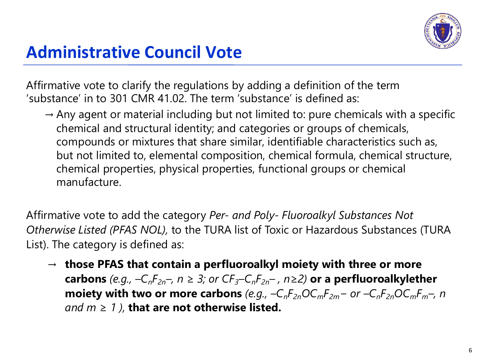

## **Administrative Council Vote**

Affirmative vote to clarify the regulations by adding a definition of the term 'substance' in to 301 CMR 41.02. The term 'substance' is defined as:

 $\rightarrow$  Any agent or material including but not limited to: pure chemicals with a specific chemical and structural identity; and categories or groups of chemicals, compounds or mixtures that share similar, identifiable characteristics such as, but not limited to, elemental composition, chemical formula, chemical structure, chemical properties, physical properties, functional groups or chemical manufacture.

Affirmative vote to add the category *Per- and Poly- Fluoroalkyl Substances Not Otherwise Listed (PFAS NOL),* to the TURA list of Toxic or Hazardous Substances (TURA List). The category is defined as:

→ **those PFAS that contain a perfluoroalkyl moiety with three or more carbons** *(e.g.,*  $-C_nF_{2n}$ *, n ≥ 3; or*  $CF_3-C_nF_{2n}$ *, n ≥ 2)* **or a perfluoroalkylether moiety with two or more carbons**  $(e.g., -C_nF_{2n}OC_mF_{2m} - or -C_nF_{2n}OC_mF_{m-}$ , *n and m ≥ 1 ),* **that are not otherwise listed.**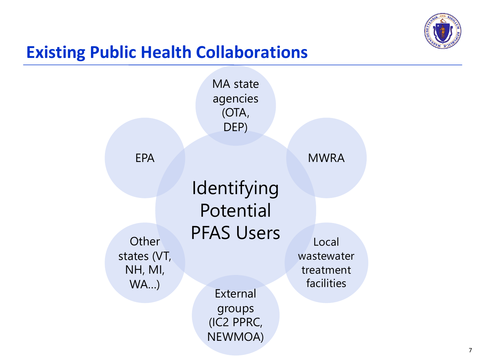

### **Existing Public Health Collaborations**

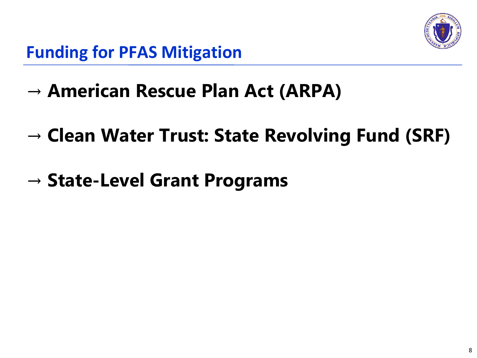

- → **American Rescue Plan Act (ARPA)**
- → **Clean Water Trust: State Revolving Fund (SRF)**
- → **State-Level Grant Programs**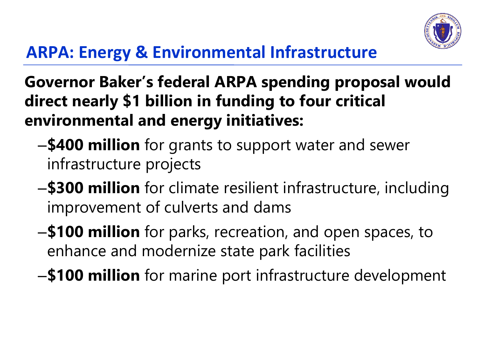

# **ARPA: Energy & Environmental Infrastructure**

**Governor Baker's federal ARPA spending proposal would direct nearly \$1 billion in funding to four critical environmental and energy initiatives:**

- –**\$400 million** for grants to support water and sewer infrastructure projects
- –**\$300 million** for climate resilient infrastructure, including improvement of culverts and dams
- –**\$100 million** for parks, recreation, and open spaces, to enhance and modernize state park facilities
- –**\$100 million** for marine port infrastructure development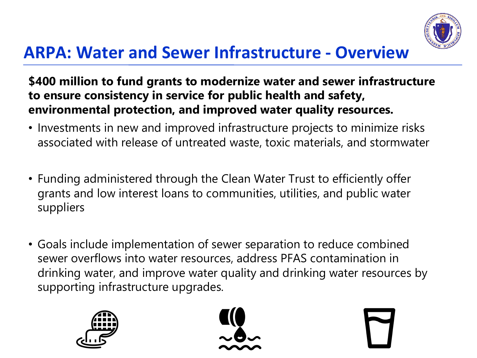

## **ARPA: Water and Sewer Infrastructure - Overview**

**\$400 million to fund grants to modernize water and sewer infrastructure to ensure consistency in service for public health and safety, environmental protection, and improved water quality resources.**

- Investments in new and improved infrastructure projects to minimize risks associated with release of untreated waste, toxic materials, and stormwater
- Funding administered through the Clean Water Trust to efficiently offer grants and low interest loans to communities, utilities, and public water suppliers
- Goals include implementation of sewer separation to reduce combined sewer overflows into water resources, address PFAS contamination in drinking water, and improve water quality and drinking water resources by supporting infrastructure upgrades.



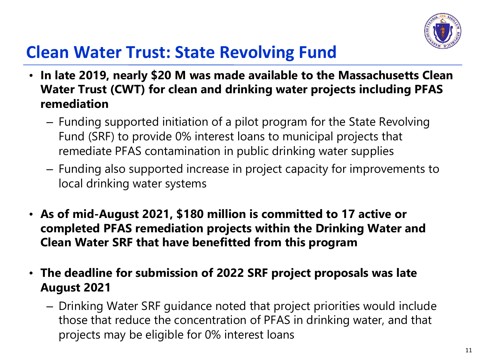

## **Clean Water Trust: State Revolving Fund**

- **In late 2019, nearly \$20 M was made available to the Massachusetts Clean Water Trust (CWT) for clean and drinking water projects including PFAS remediation**
	- Funding supported initiation of a pilot program for the State Revolving Fund (SRF) to provide 0% interest loans to municipal projects that remediate PFAS contamination in public drinking water supplies
	- Funding also supported increase in project capacity for improvements to local drinking water systems
- **As of mid-August 2021, \$180 million is committed to 17 active or completed PFAS remediation projects within the Drinking Water and Clean Water SRF that have benefitted from this program**
- **The deadline for submission of 2022 SRF project proposals was late August 2021**
	- Drinking Water SRF guidance noted that project priorities would include those that reduce the concentration of PFAS in drinking water, and that projects may be eligible for 0% interest loans